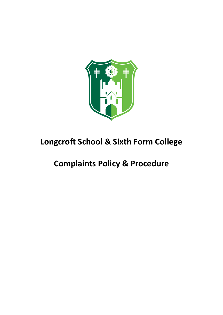

# **Longcroft School & Sixth Form College**

# **Complaints Policy & Procedure**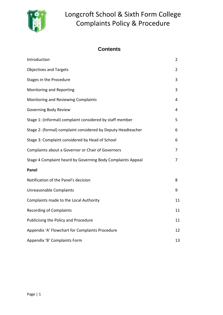

# **Contents**

| Introduction                                                 | $\overline{2}$ |
|--------------------------------------------------------------|----------------|
| <b>Objectives and Targets</b>                                | $\overline{2}$ |
| Stages in the Procedure                                      | 3              |
| Monitoring and Reporting                                     | 3              |
| Monitoring and Reviewing Complaints                          | 4              |
| Governing Body Review                                        | 4              |
| Stage 1: (informal) complaint considered by staff member     | 5              |
| Stage 2: (formal) complaint considered by Deputy Headteacher | 6              |
| Stage 3: Complaint considered by Head of School              | 6              |
| Complaints about a Governor or Chair of Governors            | 7              |
| Stage 4 Complaint heard by Governing Body Complaints Appeal  | 7              |
| Panel                                                        |                |
| Notification of the Panel's decision                         | 8              |
| Unreasonable Complaints                                      | 9              |
| Complaints made to the Local Authority                       | 11             |
| <b>Recording of Complaints</b>                               | 11             |
| Publicising the Policy and Procedure                         | 11             |
| Appendix 'A' Flowchart for Complaints Procedure              | 12             |
| Appendix 'B' Complaints Form                                 | 13             |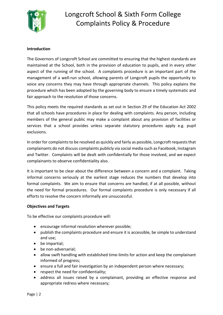

### **Introduction**

The Governors of Longcroft School are committed to ensuring that the highest standards are maintained at the School, both in the provision of education to pupils, and in every other aspect of the running of the school. A complaints procedure is an important part of the management of a well-run school, allowing parents of Longcroft pupils the opportunity to voice any concerns they may have through appropriate channels. This policy explains the procedure which has been adopted by the governing body to ensure a timely systematic and fair approach to the resolution of those concerns.

This policy meets the required standards as set out in Section 29 of the Education Act 2002 that all schools have procedures in place for dealing with complaints. Any person, including members of the general public may make a complaint about any provision of facilities or services that a school provides unless separate statutory procedures apply e.g. pupil exclusions.

In order for complaints to be resolved as quickly and fairly as possible, Longcroft requests that complainants do not discuss complaints publicly via social media such as Facebook, Instagram and Twitter. Complaints will be dealt with confidentially for those involved, and we expect complainants to observe confidentiality also.

It is important to be clear about the difference between a concern and a complaint. Taking informal concerns seriously at the earliest stage reduces the numbers that develop into formal complaints. We aim to ensure that concerns are handled, if at all possible, without the need for formal procedures. Our formal complaints procedure is only necessary if all efforts to resolve the concern informally are unsuccessful.

#### **Objectives and Targets**

To be effective our complaints procedure will:

- encourage informal resolution wherever possible;
- publish the complaints procedure and ensure it is accessible, be simple to understand and use;
- be impartial;
- be non-adversarial;
- allow swift handling with established time-limits for action and keep the complainant informed of progress;
- ensure a full and fair investigation by an independent person where necessary;
- respect the need for confidentiality;
- address all issues raised by a complainant, providing an effective response and appropriate redress where necessary;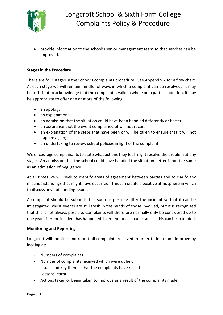

• provide information to the school's senior management team so that services can be improved.

### **Stages in the Procedure**

There are four stages in the School's complaints procedure. See Appendix A for a flow chart. At each stage we will remain mindful of ways in which a complaint can be resolved. It may be sufficient to acknowledge that the complaint is valid in whole or in part. In addition, it may be appropriate to offer one or more of the following:

- an apology;
- an explanation;
- an admission that the situation could have been handled differently or better;
- an assurance that the event complained of will not recur;
- an explanation of the steps that have been or will be taken to ensure that it will not happen again;
- an undertaking to review school policies in light of the complaint.

We encourage complainants to state what actions they feel might resolve the problem at any stage. An admission that the school could have handled the situation better is not the same as an admission of negligence.

At all times we will seek to identify areas of agreement between parties and to clarify any misunderstandings that might have occurred. This can create a positive atmosphere in which to discuss any outstanding issues.

A complaint should be submitted as soon as possible after the incident so that it can be investigated whilst events are still fresh in the minds of those involved, but it is recognized that this is not always possible. Complaints will therefore normally only be considered up to one year after the incident has happened. In exceptional circumstances, this can be extended.

#### **Monitoring and Reporting**

Longcroft will monitor and report all complaints received in order to learn and improve by looking at:

- Numbers of complaints
- Number of complaints received which were upheld
- Issues and key themes that the complaints have raised
- Lessons learnt
- Actions taken or being taken to improve as a result of the complaints made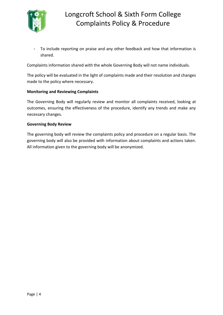

- To include reporting on praise and any other feedback and how that information is shared.

Complaints information shared with the whole Governing Body will not name individuals.

The policy will be evaluated in the light of complaints made and their resolution and changes made to the policy where necessary.

### **Monitoring and Reviewing Complaints**

The Governing Body will regularly review and monitor all complaints received, looking at outcomes, ensuring the effectiveness of the procedure, identify any trends and make any necessary changes.

### **Governing Body Review**

The governing body will review the complaints policy and procedure on a regular basis. The governing body will also be provided with information about complaints and actions taken. All information given to the governing body will be anonymized.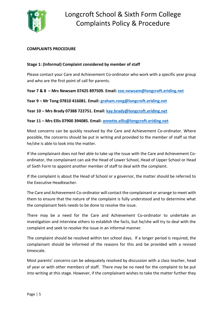

### **COMPLAINTS PROCEDURE**

### **Stage 1: (Informal) Complaint considered by member of staff**

Please contact your Care and Achievement Co-ordinator who work with a specific year group and who are the first point of call for parents.

**Year 7 & 8 – Mrs Newsam 07425 897509. Email: [zoe.newsam@longcroft.eriding.net](mailto:zoe.newsam@longcroft.eriding.net)**

**Year 9 – Mr Tong 07810 416081. Email: [graham.rong@longcroft.eriding.net](mailto:graham.rong@longcroft.eriding.net)**

**Year 10 – Mrs Brady 07388 722751. Email: [kay.brady@longcroft.eriding.net](mailto:kay.brady@longcroft.eriding.net)**

**Year 11 – Mrs Ellis 07900 394085. Email: [annette.ellis@longcroft.eriding.net](mailto:annette.ellis@longcroft.eriding.net)**

Most concerns can be quickly resolved by the Care and Achievement Co-ordinator. Where possible, the concerns should be put in writing and provided to the member of staff so that he/she is able to look into the matter.

If the complainant does not feel able to take up the issue with the Care and Achievement Coordinator, the complainant can ask the Head of Lower School, Head of Upper School or Head of Sixth Form to appoint another member of staff to deal with the complaint.

If the complaint is about the Head of School or a governor, the matter should be referred to the Executive Headteacher.

The Care and Achievement Co-ordinator will contact the complainant or arrange to meet with them to ensure that the nature of the complaint is fully understood and to determine what the complainant feels needs to be done to resolve the issue.

There may be a need for the Care and Achievement Co-ordinator to undertake an investigation and interview others to establish the facts, but he/she will try to deal with the complaint and seek to resolve the issue in an informal manner.

The complaint should be resolved within ten school days. If a longer period is required, the complainant should be informed of the reasons for this and be provided with a revised timescale.

Most parents' concerns can be adequately resolved by discussion with a class teacher, head of year or with other members of staff. There may be no need for the complaint to be put into writing at this stage. However, if the complainant wishes to take the matter further they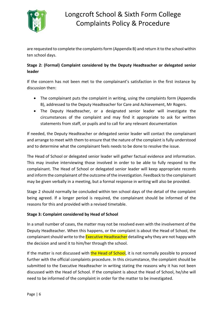

are requested to complete the complaints form (Appendix B) and return it to the school within ten school days.

# **Stage 2: (Formal) Complaint considered by the Deputy Headteacher or delegated senior leader**

If the concern has not been met to the complainant's satisfaction in the first instance by discussion then:

- The complainant puts the complaint in writing, using the complaints form (Appendix B), addressed to the Deputy Headteacher for Care and Achievement, Mr Rogers.
- The Deputy Headteacher, or a designated senior leader will investigate the circumstances of the complaint and may find it appropriate to ask for written statements from staff, or pupils and to call for any relevant documentation

If needed, the Deputy Headteacher or delegated senior leader will contact the complainant and arrange to meet with them to ensure that the nature of the complaint is fully understood and to determine what the complainant feels needs to be done to resolve the issue.

The Head of School or delegated senior leader will gather factual evidence and information. This may involve interviewing those involved in order to be able to fully respond to the complainant. The Head of School or delegated senior leader will keep appropriate records and inform the complainant of the outcome of the investigation. Feedback to the complainant may be given verbally in a meeting, but a formal response in writing will also be provided.

Stage 2 should normally be concluded within ten school days of the detail of the complaint being agreed. If a longer period is required, the complainant should be informed of the reasons for this and provided with a revised timetable.

# **Stage 3: Complaint considered by Head of School**

In a small number of cases, the matter may not be resolved even with the involvement of the Deputy Headteacher. When this happens, or the complaint is about the Head of School, the complainant should write to the **Executive Headteacher** detailing why they are not happy with the decision and send it to him/her through the school.

If the matter is not discussed with the Head of School, it is not normally possible to proceed further with the official complaints procedure. In this circumstance, the complaint should be submitted to the Executive Headteacher in writing stating the reasons why it has not been discussed with the Head of School. If the complaint is about the Head of School, he/she will need to be informed of the complaint in order for the matter to be investigated.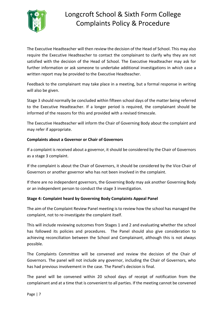

The Executive Headteacher will then review the decision of the Head of School. This may also require the Executive Headteacher to contact the complainant to clarify why they are not satisfied with the decision of the Head of School. The Executive Headteacher may ask for further information or ask someone to undertake additional investigations in which case a written report may be provided to the Executive Headteacher.

Feedback to the complainant may take place in a meeting, but a formal response in writing will also be given.

Stage 3 should normally be concluded within fifteen school days of the matter being referred to the Executive Headteacher. If a longer period is required, the complainant should be informed of the reasons for this and provided with a revised timescale.

The Executive Headteacher will inform the Chair of Governing Body about the complaint and may refer if appropriate.

# **Complaints about a Governor or Chair of Governors**

If a complaint is received about a governor, it should be considered by the Chair of Governors as a stage 3 complaint.

If the complaint is about the Chair of Governors, it should be considered by the Vice Chair of Governors or another governor who has not been involved in the complaint.

If there are no independent governors, the Governing Body may ask another Governing Body or an independent person to conduct the stage 3 investigation.

### **Stage 4: Complaint heard by Governing Body Complaints Appeal Panel**

The aim of the Complaint Review Panel meeting is to review how the school has managed the complaint, not to re-investigate the complaint itself.

This will include reviewing outcomes from Stages 1 and 2 and evaluating whether the school has followed its policies and procedures. The Panel should also give consideration to achieving reconciliation between the School and Complainant, although this is not always possible.

The Complaints Committee will be convened and review the decision of the Chair of Governors. The panel will not include any governor, including the Chair of Governors, who has had previous involvement in the case. The Panel's decision is final.

The panel will be convened within 20 school days of receipt of notification from the complainant and at a time that is convenient to all parties. If the meeting cannot be convened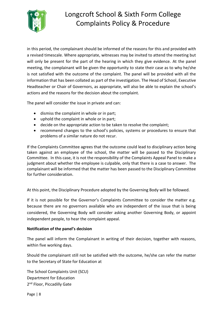

in this period, the complainant should be informed of the reasons for this and provided with a revised timescale. Where appropriate, witnesses may be invited to attend the meeting but will only be present for the part of the hearing in which they give evidence. At the panel meeting, the complainant will be given the opportunity to state their case as to why he/she is not satisfied with the outcome of the complaint. The panel will be provided with all the information that has been collated as part of the investigation. The Head of School, Executive Headteacher or Chair of Governors, as appropriate, will also be able to explain the school's actions and the reasons for the decision about the complaint.

The panel will consider the issue in private and can:

- dismiss the complaint in whole or in part;
- uphold the complaint in whole or in part;
- decide on the appropriate action to be taken to resolve the complaint;
- recommend changes to the school's policies, systems or procedures to ensure that problems of a similar nature do not recur.

If the Complaints Committee agrees that the outcome could lead to disciplinary action being taken against an employee of the school, the matter will be passed to the Disciplinary Committee. In this case, it is not the responsibility of the Complaints Appeal Panel to make a judgment about whether the employee is culpable, only that there is a case to answer. The complainant will be informed that the matter has been passed to the Disciplinary Committee for further consideration.

At this point, the Disciplinary Procedure adopted by the Governing Body will be followed.

If it is not possible for the Governor's Complaints Committee to consider the matter e.g. because there are no governors available who are independent of the issue that is being considered, the Governing Body will consider asking another Governing Body, or appoint independent people, to hear the complaint appeal.

### **Notification of the panel's decision**

The panel will inform the Complainant in writing of their decision, together with reasons, within five working days.

Should the complainant still not be satisfied with the outcome, he/she can refer the matter to the Secretary of State for Education at

The School Complaints Unit (SCU) Department for Education 2<sup>nd</sup> Floor, Piccadilly Gate

Page | 8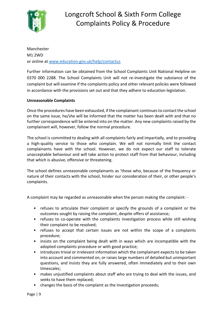

Manchester M1 2WD or online at [www.education.gov.uk/help/contactus](http://www.education.gov.uk/help/contactus)

Further information can be obtained from the School Complaints Unit National Helpline on 0370 000 2288. The School Complaints Unit will not re-investigate the substance of the complaint but will examine if the complaints policy and other relevant policies were followed in accordance with the provisions set out and that they adhere to education legislation.

## **Unreasonable Complaints**

Once the procedures have been exhausted, if the complainant continues to contact the school on the same issue, he/she will be informed that the matter has been dealt with and that no further correspondence will be entered into on the matter. Any new complaints raised by the complainant will, however, follow the normal procedure.

The school is committed to dealing with all complaints fairly and impartially, and to providing a high-quality service to those who complain. We will not normally limit the contact complainants have with the school. However, we do not expect our staff to tolerate unacceptable behaviour and will take action to protect staff from that behaviour, including that which is abusive, offensive or threatening.

The school defines unreasonable complainants as 'those who, because of the frequency or nature of their contacts with the school, hinder our consideration of their, or other people's complaints.

A complaint may be regarded as unreasonable when the person making the complaint: -

- refuses to articulate their complaint or specify the grounds of a complaint or the outcomes sought by raising the complaint, despite offers of assistance;
- refuses to co-operate with the complaints investigation process while still wishing their complaint to be resolved;
- refuses to accept that certain issues are not within the scope of a complaints procedure;
- insists on the complaint being dealt with in ways which are incompatible with the adopted complaints procedure or with good practice;
- introduces trivial or irrelevant information which the complainant expects to be taken into account and commented on, or raises large numbers of detailed but unimportant questions, and insists they are fully answered, often immediately and to their own timescales;
- makes unjustified complaints about staff who are trying to deal with the issues, and seeks to have them replaced;
- changes the basis of the complaint as the investigation proceeds;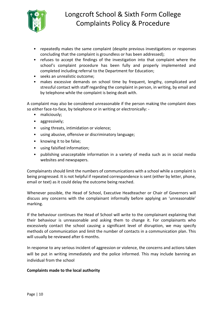

- repeatedly makes the same complaint (despite previous investigations or responses concluding that the complaint is groundless or has been addressed);
- refuses to accept the findings of the investigation into that complaint where the school's complaint procedure has been fully and properly implemented and completed including referral to the Department for Education;
- seeks an unrealistic outcome;
- makes excessive demands on school time by frequent, lengthy, complicated and stressful contact with staff regarding the complaint in person, in writing, by email and by telephone while the complaint is being dealt with.

A complaint may also be considered unreasonable if the person making the complaint does so either face-to-face, by telephone or in writing or electronically: -

- maliciously;
- aggressively;
- using threats, intimidation or violence;
- using abusive, offensive or discriminatory language;
- knowing it to be false;
- using falsified information;
- publishing unacceptable information in a variety of media such as in social media websites and newspapers.

Complainants should limit the numbers of communications with a school while a complaint is being progressed. It is not helpful if repeated correspondence is sent (either by letter, phone, email or text) as it could delay the outcome being reached.

Whenever possible, the Head of School, Executive Headteacher or Chair of Governors will discuss any concerns with the complainant informally before applying an 'unreasonable' marking.

If the behaviour continues the Head of School will write to the complainant explaining that their behaviour is unreasonable and asking them to change it. For complainants who excessively contact the school causing a significant level of disruption, we may specify methods of communication and limit the number of contacts in a communication plan. This will usually be reviewed after 6 months.

In response to any serious incident of aggression or violence, the concerns and actions taken will be put in writing immediately and the police informed. This may include banning an individual from the school

### **Complaints made to the local authority**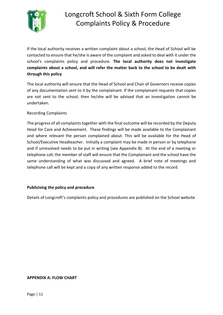

If the local authority receives a written complaint about a school, the Head of School will be contacted to ensure that he/she is aware of the complaint and asked to deal with it under the school's complaints policy and procedure. **The local authority does not investigate complaints about a school, and will refer the matter back to the school to be dealt with through this policy**

The local authority will ensure that the Head of School and Chair of Governors receive copies of any documentation sent to it by the complainant. If the complainant requests that copies are not sent to the school, then he/she will be advised that an investigation cannot be undertaken.

## Recording Complaints

The progress of all complaints together with the final outcome will be recorded by the Deputy Head for Care and Achievement.These findings will be made available to the Complainant and where relevant the person complained about. This will be available for the Head of School/Executive Headteacher. Initially a complaint may be made in person or by telephone and if unresolved needs to be put in writing (see Appendix B). At the end of a meeting or telephone call, the member of staff will ensure that the Complainant and the school have the same understanding of what was discussed and agreed. A brief note of meetings and telephone call will be kept and a copy of any written response added to the record.

### **Publicising the policy and procedure**

Details of Longcroft's complaints policy and procedures are published on the School website

#### **APPENDIX A: FLOW CHART**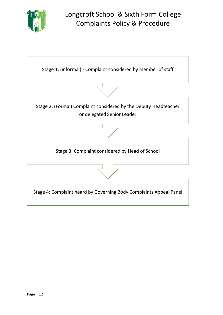

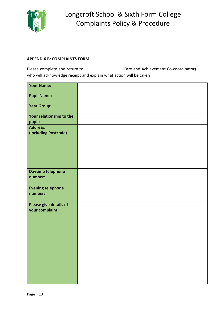

#### **APPENDIX B: COMPLAINTS FORM**

Please complete and return to …………………………….. (Care and Achievement Co-coordinator) who will acknowledge receipt and explain what action will be taken

| <b>Your Name:</b>                         |  |
|-------------------------------------------|--|
| <b>Pupil Name:</b>                        |  |
| <b>Year Group:</b>                        |  |
| Your relationship to the<br>pupil:        |  |
| <b>Address:</b><br>(including Postcode)   |  |
| <b>Daytime telephone</b><br>number:       |  |
| <b>Evening telephone</b><br>number:       |  |
| Please give details of<br>your complaint: |  |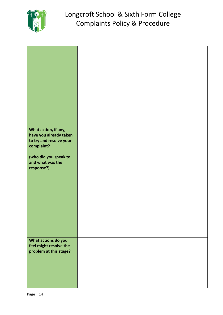

| What action, if any,<br>have you already taken<br>to try and resolve your<br>complaint?<br>(who did you speak to<br>and what was the<br>response?) |  |
|----------------------------------------------------------------------------------------------------------------------------------------------------|--|
| What actions do you<br>feel might resolve the<br>problem at this stage?                                                                            |  |